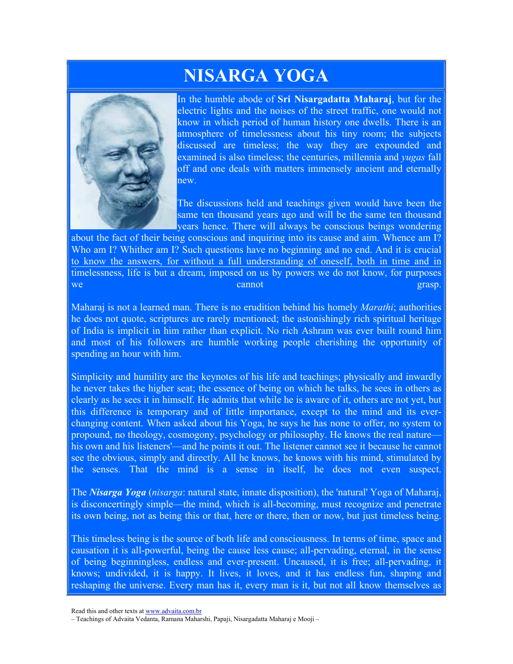## NISARGA YOGA



In the humble abode of Sri Nisargadatta Maharaj, but for the electric lights and the noises of the street traffic, one would not know in which period of human history one dwells. There is an atmosphere of timelessness about his tiny room; the subjects discussed are timeless; the way they are expounded and examined is also timeless; the centuries, millennia and *yugas* fall off and one deals with matters immensely ancient and eternally new.

The discussions held and teachings given would have been the same ten thousand years ago and will be the same ten thousand years hence. There will always be conscious beings wondering

about the fact of their being conscious and inquiring into its cause and aim. Whence am I? Who am I? Whither am I? Such questions have no beginning and no end. And it is crucial to know the answers, for without a full understanding of oneself, both in time and in timelessness, life is but a dream, imposed on us by powers we do not know, for purposes we cannot cannot cannot cannot cannot cannot cannot cannot cannot can be expected as  $\alpha$  grasp.

Maharaj is not a learned man. There is no erudition behind his homely *Marathi*; authorities he does not quote, scriptures are rarely mentioned; the astonishingly rich spiritual heritage of India is implicit in him rather than explicit. No rich Ashram was ever built round him and most of his followers are humble working people cherishing the opportunity of spending an hour with him.

Simplicity and humility are the keynotes of his life and teachings; physically and inwardly he never takes the higher seat; the essence of being on which he talks, he sees in others as clearly as he sees it in himself. He admits that while he is aware of it, others are not yet, but this difference is temporary and of little importance, except to the mind and its everchanging content. When asked about his Yoga, he says he has none to offer, no system to propound, no theology, cosmogony, psychology or philosophy. He knows the real nature his own and his listeners'—and he points it out. The listener cannot see it because he cannot see the obvious, simply and directly. All he knows, he knows with his mind, stimulated by the senses. That the mind is a sense in itself, he does not even suspect.

The Nisarga Yoga (nisarga: natural state, innate disposition), the 'natural' Yoga of Maharaj, is disconcertingly simple—the mind, which is all-becoming, must recognize and penetrate its own being, not as being this or that, here or there, then or now, but just timeless being.

This timeless being is the source of both life and consciousness. In terms of time, space and causation it is all-powerful, being the cause less cause; all-pervading, eternal, in the sense of being beginningless, endless and ever-present. Uncaused, it is free; all-pervading, it knows; undivided, it is happy. It lives, it loves, and it has endless fun, shaping and reshaping the universe. Every man has it, every man is it, but not all know themselves as

Read this and other texts at www.advaita.com.br

<sup>–</sup> Teachings of Advaita Vedanta, Ramana Maharshi, Papaji, Nisargadatta Maharaj e Mooji –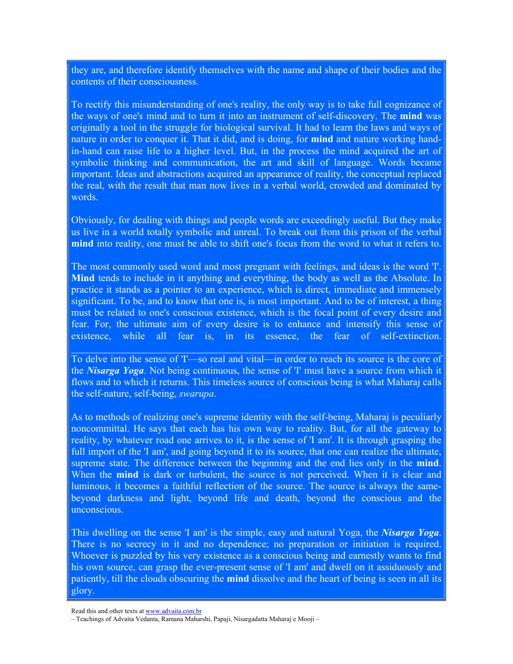they are, and therefore identify themselves with the name and shape of their bodies and the contents of their consciousness.

To rectify this misunderstanding of one's reality, the only way is to take full cognizance of the ways of one's mind and to turn it into an instrument of self-discovery. The mind was originally a tool in the struggle for biological survival. It had to learn the laws and ways of nature in order to conquer it. That it did, and is doing, for mind and nature working handin-hand can raise life to a higher level. But, in the process the mind acquired the art of symbolic thinking and communication, the art and skill of language. Words became important. Ideas and abstractions acquired an appearance of reality, the conceptual replaced the real, with the result that man now lives in a verbal world, crowded and dominated by words.

Obviously, for dealing with things and people words are exceedingly useful. But they make us live in a world totally symbolic and unreal. To break out from this prison of the verbal mind into reality, one must be able to shift one's focus from the word to what it refers to.

The most commonly used word and most pregnant with feelings, and ideas is the word 'I'. Mind tends to include in it anything and everything, the body as well as the Absolute. In practice it stands as a pointer to an experience, which is direct, immediate and immensely significant. To be, and to know that one is, is most important. And to be of interest, a thing must be related to one's conscious existence, which is the focal point of every desire and fear. For, the ultimate aim of every desire is to enhance and intensify this sense of existence, while all fear is, in its essence, the fear of self-extinction.

To delve into the sense of 'I'—so real and vital—in order to reach its source is the core of the Nisarga Yoga. Not being continuous, the sense of 'I' must have a source from which it flows and to which it returns. This timeless source of conscious being is what Maharaj calls the self-nature, self-being, swarupa.

As to methods of realizing one's supreme identity with the self-being, Maharaj is peculiarly noncommittal. He says that each has his own way to reality. But, for all the gateway to reality, by whatever road one arrives to it, is the sense of 'I am'. It is through grasping the full import of the 'I am', and going beyond it to its source, that one can realize the ultimate, supreme state. The difference between the beginning and the end lies only in the mind. When the mind is dark or turbulent, the source is not perceived. When it is clear and luminous, it becomes a faithful reflection of the source. The source is always the samebeyond darkness and light, beyond life and death, beyond the conscious and the unconscious.

This dwelling on the sense 'I am' is the simple, easy and natural Yoga, the Nisarga Yoga. There is no secrecy in it and no dependence; no preparation or initiation is required. Whoever is puzzled by his very existence as a conscious being and earnestly wants to find his own source, can grasp the ever-present sense of 'I am' and dwell on it assiduously and patiently, till the clouds obscuring the mind dissolve and the heart of being is seen in all its glory.

Read this and other texts at www.advaita.com.br

<sup>–</sup> Teachings of Advaita Vedanta, Ramana Maharshi, Papaji, Nisargadatta Maharaj e Mooji –